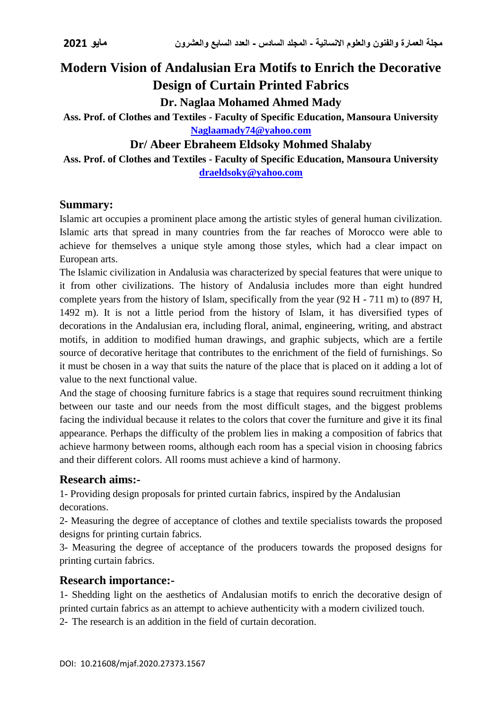# **Modern Vision of Andalusian Era Motifs to Enrich the Decorative Design of Curtain Printed Fabrics**

**Dr. Naglaa Mohamed Ahmed Mady**

**Ass. Prof. of Clothes and Textiles - Faculty of Specific Education, Mansoura University [Naglaamady74@yahoo.com](mailto:Naglaamady74@yahoo.com)**

# **Dr/ Abeer Ebraheem Eldsoky Mohmed Shalaby**

**Ass. Prof. of Clothes and Textiles - Faculty of Specific Education, Mansoura University [draeldsoky@yahoo.com](mailto:draeldsoky@yahoo.com)**

## **Summary:**

Islamic art occupies a prominent place among the artistic styles of general human civilization. Islamic arts that spread in many countries from the far reaches of Morocco were able to achieve for themselves a unique style among those styles, which had a clear impact on European arts.

The Islamic civilization in Andalusia was characterized by special features that were unique to it from other civilizations. The history of Andalusia includes more than eight hundred complete years from the history of Islam, specifically from the year (92 H - 711 m) to (897 H, 1492 m). It is not a little period from the history of Islam, it has diversified types of decorations in the Andalusian era, including floral, animal, engineering, writing, and abstract motifs, in addition to modified human drawings, and graphic subjects, which are a fertile source of decorative heritage that contributes to the enrichment of the field of furnishings. So it must be chosen in a way that suits the nature of the place that is placed on it adding a lot of value to the next functional value.

And the stage of choosing furniture fabrics is a stage that requires sound recruitment thinking between our taste and our needs from the most difficult stages, and the biggest problems facing the individual because it relates to the colors that cover the furniture and give it its final appearance. Perhaps the difficulty of the problem lies in making a composition of fabrics that achieve harmony between rooms, although each room has a special vision in choosing fabrics and their different colors. All rooms must achieve a kind of harmony.

# **Research aims:-**

1- Providing design proposals for printed curtain fabrics, inspired by the Andalusian decorations.

2- Measuring the degree of acceptance of clothes and textile specialists towards the proposed designs for printing curtain fabrics.

3- Measuring the degree of acceptance of the producers towards the proposed designs for printing curtain fabrics.

### **Research importance:-**

1- Shedding light on the aesthetics of Andalusian motifs to enrich the decorative design of printed curtain fabrics as an attempt to achieve authenticity with a modern civilized touch.

2- The research is an addition in the field of curtain decoration.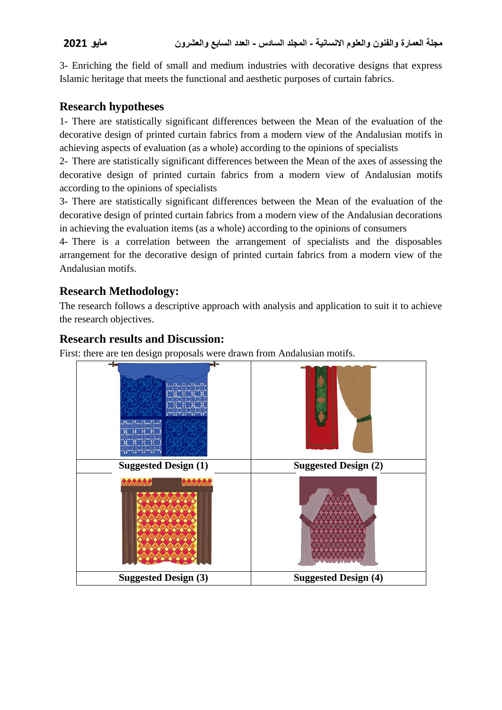3- Enriching the field of small and medium industries with decorative designs that express Islamic heritage that meets the functional and aesthetic purposes of curtain fabrics.

# **Research hypotheses**

1- There are statistically significant differences between the Mean of the evaluation of the decorative design of printed curtain fabrics from a modern view of the Andalusian motifs in achieving aspects of evaluation (as a whole) according to the opinions of specialists

2- There are statistically significant differences between the Mean of the axes of assessing the decorative design of printed curtain fabrics from a modern view of Andalusian motifs according to the opinions of specialists

3- There are statistically significant differences between the Mean of the evaluation of the decorative design of printed curtain fabrics from a modern view of the Andalusian decorations in achieving the evaluation items (as a whole) according to the opinions of consumers

4- There is a correlation between the arrangement of specialists and the disposables arrangement for the decorative design of printed curtain fabrics from a modern view of the Andalusian motifs.

# **Research Methodology:**

The research follows a descriptive approach with analysis and application to suit it to achieve the research objectives.

# **Research results and Discussion:**

First: there are ten design proposals were drawn from Andalusian motifs.

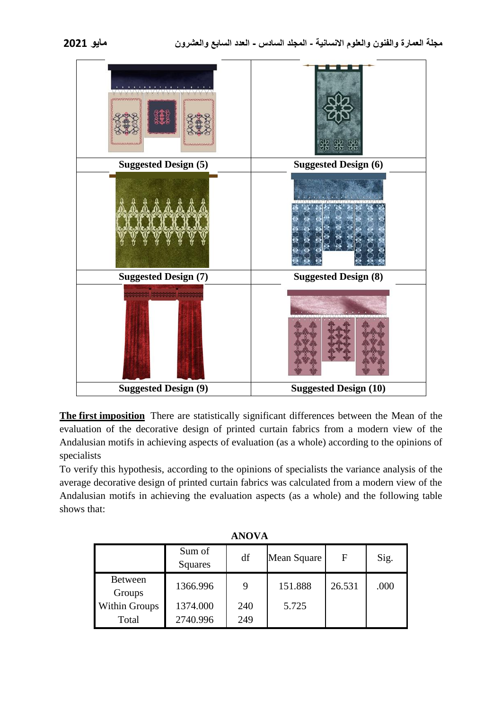| 225522552255<br><b><i>REMARKANANAN</i></b> | क्रॅ<br>क्रैंडि              |
|--------------------------------------------|------------------------------|
| <b>Suggested Design (5)</b>                | <b>Suggested Design (6)</b>  |
|                                            |                              |
| <b>Suggested Design (7)</b>                | <b>Suggested Design (8)</b>  |
|                                            |                              |
| <b>Suggested Design (9)</b>                | <b>Suggested Design (10)</b> |

**The first imposition** There are statistically significant differences between the Mean of the evaluation of the decorative design of printed curtain fabrics from a modern view of the Andalusian motifs in achieving aspects of evaluation (as a whole) according to the opinions of specialists

To verify this hypothesis, according to the opinions of specialists the variance analysis of the average decorative design of printed curtain fabrics was calculated from a modern view of the Andalusian motifs in achieving the evaluation aspects (as a whole) and the following table shows that:

|                          | Sum of<br>Squares | df  | Mean Square | F      | Sig. |
|--------------------------|-------------------|-----|-------------|--------|------|
| <b>Between</b><br>Groups | 1366.996          | 9   | 151.888     | 26.531 | .000 |
| <b>Within Groups</b>     | 1374.000          | 240 | 5.725       |        |      |
| Total                    | 2740.996          | 249 |             |        |      |

**ANOVA**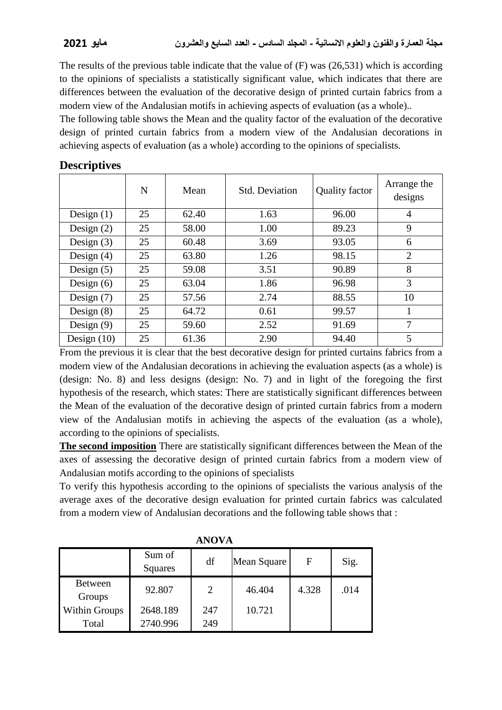The results of the previous table indicate that the value of (F) was (26,531) which is according to the opinions of specialists a statistically significant value, which indicates that there are differences between the evaluation of the decorative design of printed curtain fabrics from a modern view of the Andalusian motifs in achieving aspects of evaluation (as a whole)..

The following table shows the Mean and the quality factor of the evaluation of the decorative design of printed curtain fabrics from a modern view of the Andalusian decorations in achieving aspects of evaluation (as a whole) according to the opinions of specialists.

|               | N  | Mean  | <b>Std. Deviation</b> | <b>Quality factor</b> | Arrange the<br>designs |
|---------------|----|-------|-----------------------|-----------------------|------------------------|
| Design $(1)$  | 25 | 62.40 | 1.63                  | 96.00                 | $\overline{4}$         |
| Design $(2)$  | 25 | 58.00 | 1.00                  | 89.23                 | 9                      |
| Design $(3)$  | 25 | 60.48 | 3.69                  | 93.05                 | 6                      |
| Design $(4)$  | 25 | 63.80 | 1.26                  | 98.15                 | $\overline{2}$         |
| Design $(5)$  | 25 | 59.08 | 3.51                  | 90.89                 | 8                      |
| Design $(6)$  | 25 | 63.04 | 1.86                  | 96.98                 | 3                      |
| Design $(7)$  | 25 | 57.56 | 2.74                  | 88.55                 | 10                     |
| Design $(8)$  | 25 | 64.72 | 0.61                  | 99.57                 |                        |
| Design $(9)$  | 25 | 59.60 | 2.52                  | 91.69                 | 7                      |
| Design $(10)$ | 25 | 61.36 | 2.90                  | 94.40                 | 5                      |

### **Descriptives**

From the previous it is clear that the best decorative design for printed curtains fabrics from a modern view of the Andalusian decorations in achieving the evaluation aspects (as a whole) is (design: No. 8) and less designs (design: No. 7) and in light of the foregoing the first hypothesis of the research, which states: There are statistically significant differences between the Mean of the evaluation of the decorative design of printed curtain fabrics from a modern view of the Andalusian motifs in achieving the aspects of the evaluation (as a whole), according to the opinions of specialists.

**The second imposition** There are statistically significant differences between the Mean of the axes of assessing the decorative design of printed curtain fabrics from a modern view of Andalusian motifs according to the opinions of specialists

To verify this hypothesis according to the opinions of specialists the various analysis of the average axes of the decorative design evaluation for printed curtain fabrics was calculated from a modern view of Andalusian decorations and the following table shows that :

|                          | Sum of<br>Squares | df             | Mean Square | F     | Sig. |
|--------------------------|-------------------|----------------|-------------|-------|------|
| <b>Between</b><br>Groups | 92.807            | $\overline{2}$ | 46.404      | 4.328 | .014 |
| <b>Within Groups</b>     | 2648.189          | 247            | 10.721      |       |      |
| Total                    | 2740.996          | 249            |             |       |      |

**ANOVA**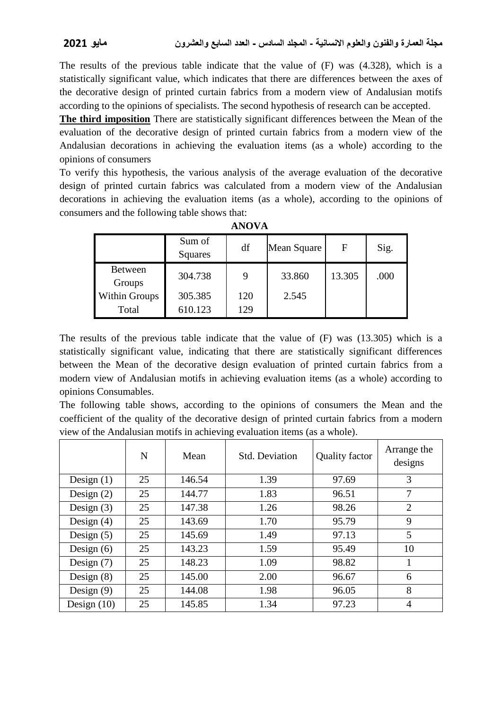The results of the previous table indicate that the value of (F) was (4.328), which is a statistically significant value, which indicates that there are differences between the axes of the decorative design of printed curtain fabrics from a modern view of Andalusian motifs according to the opinions of specialists. The second hypothesis of research can be accepted.

**The third imposition** There are statistically significant differences between the Mean of the evaluation of the decorative design of printed curtain fabrics from a modern view of the Andalusian decorations in achieving the evaluation items (as a whole) according to the opinions of consumers

To verify this hypothesis, the various analysis of the average evaluation of the decorative design of printed curtain fabrics was calculated from a modern view of the Andalusian decorations in achieving the evaluation items (as a whole), according to the opinions of consumers and the following table shows that:

|                          | Sum of<br>Squares | df  | Mean Square | F      | Sig. |
|--------------------------|-------------------|-----|-------------|--------|------|
| <b>Between</b><br>Groups | 304.738           | 9   | 33.860      | 13.305 | .000 |
| Within Groups            | 305.385           | 120 | 2.545       |        |      |
| Total                    | 610.123           | 129 |             |        |      |

**ANOVA**

The results of the previous table indicate that the value of (F) was (13.305) which is a statistically significant value, indicating that there are statistically significant differences between the Mean of the decorative design evaluation of printed curtain fabrics from a modern view of Andalusian motifs in achieving evaluation items (as a whole) according to opinions Consumables.

The following table shows, according to the opinions of consumers the Mean and the coefficient of the quality of the decorative design of printed curtain fabrics from a modern view of the Andalusian motifs in achieving evaluation items (as a whole).

|               | N  | Mean   | <b>Std. Deviation</b> | Quality factor | Arrange the<br>designs |
|---------------|----|--------|-----------------------|----------------|------------------------|
| Design $(1)$  | 25 | 146.54 | 1.39                  | 97.69          | 3                      |
| Design $(2)$  | 25 | 144.77 | 1.83                  | 96.51          | 7                      |
| Design $(3)$  | 25 | 147.38 | 1.26                  | 98.26          | $\overline{2}$         |
| Design $(4)$  | 25 | 143.69 | 1.70                  | 95.79          | 9                      |
| Design $(5)$  | 25 | 145.69 | 1.49                  | 97.13          | 5                      |
| Design $(6)$  | 25 | 143.23 | 1.59                  | 95.49          | 10                     |
| Design $(7)$  | 25 | 148.23 | 1.09                  | 98.82          | 1                      |
| Design $(8)$  | 25 | 145.00 | 2.00                  | 96.67          | 6                      |
| Design $(9)$  | 25 | 144.08 | 1.98                  | 96.05          | 8                      |
| Design $(10)$ | 25 | 145.85 | 1.34                  | 97.23          | $\overline{4}$         |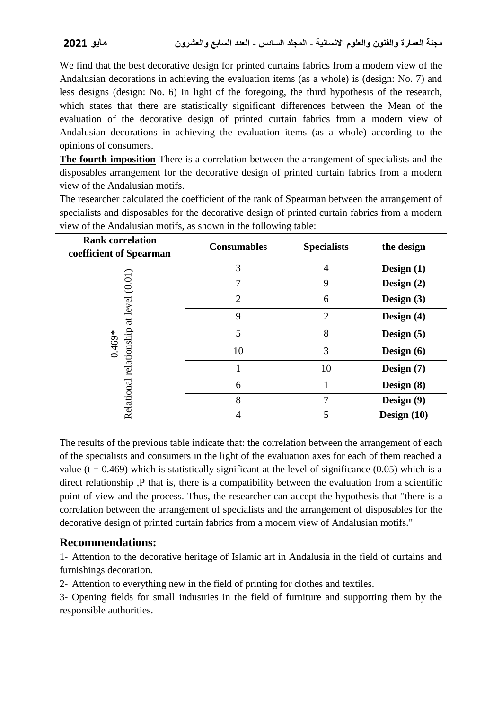We find that the best decorative design for printed curtains fabrics from a modern view of the Andalusian decorations in achieving the evaluation items (as a whole) is (design: No. 7) and less designs (design: No. 6) In light of the foregoing, the third hypothesis of the research, which states that there are statistically significant differences between the Mean of the evaluation of the decorative design of printed curtain fabrics from a modern view of Andalusian decorations in achieving the evaluation items (as a whole) according to the opinions of consumers.

**The fourth imposition** There is a correlation between the arrangement of specialists and the disposables arrangement for the decorative design of printed curtain fabrics from a modern view of the Andalusian motifs.

The researcher calculated the coefficient of the rank of Spearman between the arrangement of specialists and disposables for the decorative design of printed curtain fabrics from a modern view of the Andalusian motifs, as shown in the following table:

| <b>Rank correlation</b><br>coefficient of Spearman  | <b>Consumables</b> | <b>Specialists</b> | the design    |
|-----------------------------------------------------|--------------------|--------------------|---------------|
|                                                     | 3                  | $\overline{4}$     | Design $(1)$  |
|                                                     | 7                  | 9                  | Design $(2)$  |
|                                                     | $\overline{2}$     | 6                  | Design $(3)$  |
| Relational relationship at level (0.01)<br>$0.469*$ | 9                  | $\overline{2}$     | Design $(4)$  |
|                                                     | 5                  | 8                  | Design $(5)$  |
|                                                     | 10                 | 3                  | Design $(6)$  |
|                                                     |                    | 10                 | Design (7)    |
|                                                     | 6                  |                    | Design $(8)$  |
|                                                     | 8                  | 7                  | Design (9)    |
|                                                     |                    | 5                  | Design $(10)$ |

The results of the previous table indicate that: the correlation between the arrangement of each of the specialists and consumers in the light of the evaluation axes for each of them reached a value ( $t = 0.469$ ) which is statistically significant at the level of significance (0.05) which is a direct relationship ,P that is, there is a compatibility between the evaluation from a scientific point of view and the process. Thus, the researcher can accept the hypothesis that "there is a correlation between the arrangement of specialists and the arrangement of disposables for the decorative design of printed curtain fabrics from a modern view of Andalusian motifs."

# **Recommendations:**

1- Attention to the decorative heritage of Islamic art in Andalusia in the field of curtains and furnishings decoration.

2- Attention to everything new in the field of printing for clothes and textiles.

3- Opening fields for small industries in the field of furniture and supporting them by the responsible authorities.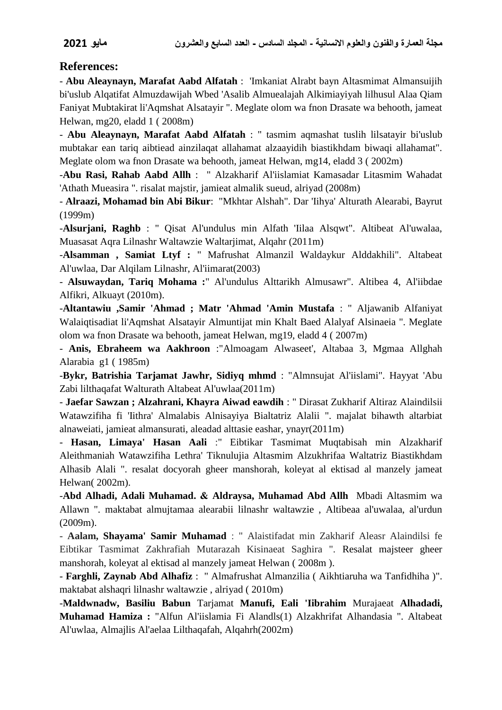### **References:**

- **Abu Aleaynayn, Marafat Aabd Alfatah** : 'Imkaniat Alrabt bayn Altasmimat Almansuijih bi'uslub Alqatifat Almuzdawijah Wbed 'Asalib Almuealajah Alkimiayiyah lilhusul Alaa Qiam Faniyat Mubtakirat li'Aqmshat Alsatayir ". Meglate olom wa fnon Drasate wa behooth, jameat Helwan, mg20, eladd 1 ( 2008m)

- **Abu Aleaynayn, Marafat Aabd Alfatah** : " tasmim aqmashat tuslih lilsatayir bi'uslub mubtakar ean tariq aibtiead ainzilaqat allahamat alzaayidih biastikhdam biwaqi allahamat". Meglate olom wa fnon Drasate wa behooth, jameat Helwan, mg14, eladd 3 ( 2002m)

-**Abu Rasi, Rahab Aabd Allh** : " Alzakharif Al'iislamiat Kamasadar Litasmim Wahadat 'Athath Mueasira ". risalat majstir, jamieat almalik sueud, alriyad (2008m)

- **Alraazi, Mohamad bin Abi Bikur**: "Mkhtar Alshah". Dar 'Iihya' Alturath Alearabi, Bayrut (1999m)

-**Alsurjani, Raghb** : " Qisat Al'undulus min Alfath 'Iilaa Alsqwt". Altibeat Al'uwalaa, Muasasat Aqra Lilnashr Waltawzie Waltarjimat, Alqahr (2011m)

-**Alsamman , Samiat Ltyf :** " Mafrushat Almanzil Waldaykur Alddakhili". Altabeat Al'uwlaa, Dar Alqilam Lilnashr, Al'iimarat(2003)

- **Alsuwaydan, Tariq Mohama :**" Al'undulus Alttarikh Almusawr". Altibea 4, Al'iibdae Alfikri, Alkuayt (2010m).

-**Altantawiu ,Samir 'Ahmad ; Matr 'Ahmad 'Amin Mustafa** : " Aljawanib Alfaniyat Walaiqtisadiat li'Aqmshat Alsatayir Almuntijat min Khalt Baed Alalyaf Alsinaeia ". Meglate olom wa fnon Drasate wa behooth, jameat Helwan, mg19, eladd 4 ( 2007m)

- **Anis, Ebraheem wa Aakhroon** :"Almoagam Alwaseet', Altabaa 3, Mgmaa Allghah Alarabia g1 ( 1985m)

-**Bykr, Batrishia Tarjamat Jawhr, Sidiyq mhmd** : "Almnsujat Al'iislami". Hayyat 'Abu Zabi lilthaqafat Walturath Altabeat Al'uwlaa(2011m)

- **Jaefar Sawzan ; Alzahrani, Khayra Aiwad eawdih** : " Dirasat Zukharif Altiraz Alaindilsii Watawzifiha fi 'Iithra' Almalabis Alnisayiya Bialtatriz Alalii ". majalat bihawth altarbiat alnaweiati, jamieat almansurati, aleadad alttasie eashar, ynayr(2011m)

- **Hasan, Limaya' Hasan Aali** :" Eibtikar Tasmimat Muqtabisah min Alzakharif Aleithmaniah Watawzifiha Lethra' Tiknulujia Altasmim Alzukhrifaa Waltatriz Biastikhdam Alhasib Alali ". resalat docyorah gheer manshorah, koleyat al ektisad al manzely jameat Helwan( 2002m).

-**Abd Alhadi, Adali Muhamad. & Aldraysa, Muhamad Abd Allh** Mbadi Altasmim wa Allawn ". maktabat almujtamaa alearabii lilnashr waltawzie , Altibeaa al'uwalaa, al'urdun (2009m).

- **Aalam, Shayama' Samir Muhamad** : " Alaistifadat min Zakharif Aleasr Alaindilsi fe Eibtikar Tasmimat Zakhrafiah Mutarazah Kisinaeat Saghira ". Resalat majsteer gheer manshorah, koleyat al ektisad al manzely jameat Helwan ( 2008m ).

- **Farghli, Zaynab Abd Alhafiz** : " Almafrushat Almanzilia ( Aikhtiaruha wa Tanfidhiha )". maktabat alshaqri lilnashr waltawzie , alriyad ( 2010m)

-**Maldwnadw, Basiliu Babun** Tarjamat **Manufi, Eali 'Iibrahim** Murajaeat **Alhadadi, Muhamad Hamiza :** "Alfun Al'iislamia Fi Alandls(1) Alzakhrifat Alhandasia ". Altabeat Al'uwlaa, Almajlis Al'aelaa Lilthaqafah, Alqahrh(2002m)